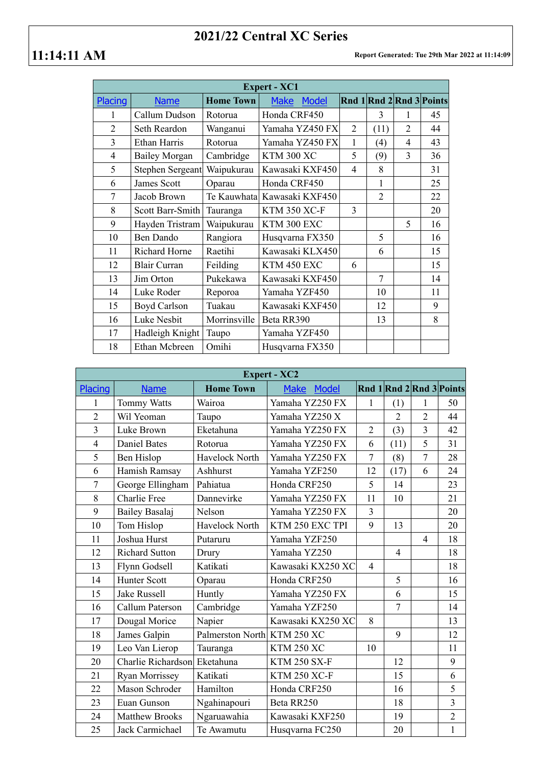## **2021/22 Central XC Series**

| <b>Expert - XC1</b> |                      |                  |                             |                |                |                          |    |
|---------------------|----------------------|------------------|-----------------------------|----------------|----------------|--------------------------|----|
| Placing             | <b>Name</b>          | <b>Home Town</b> | <b>Make</b><br><b>Model</b> |                |                | Rnd 1 Rnd 2 Rnd 3 Points |    |
| 1                   | Callum Dudson        | Rotorua          | Honda CRF450                |                | 3              | 1                        | 45 |
| $\overline{2}$      | Seth Reardon         | Wanganui         | Yamaha YZ450 FX             | $\overline{2}$ | (11)           | $\overline{2}$           | 44 |
| 3                   | Ethan Harris         | Rotorua          | Yamaha YZ450 FX             | 1              | (4)            | 4                        | 43 |
| 4                   | <b>Bailey Morgan</b> | Cambridge        | <b>KTM 300 XC</b>           | 5              | (9)            | 3                        | 36 |
| 5                   | Stephen Sergeant     | Waipukurau       | Kawasaki KXF450             | 4              | 8              |                          | 31 |
| 6                   | James Scott          | Oparau           | Honda CRF450                |                | $\mathbf{1}$   |                          | 25 |
| 7                   | Jacob Brown          | Te Kauwhata      | Kawasaki KXF450             |                | $\overline{2}$ |                          | 22 |
| 8                   | Scott Barr-Smith     | Tauranga         | <b>KTM 350 XC-F</b>         | 3              |                |                          | 20 |
| 9                   | Hayden Tristram      | Waipukurau       | KTM 300 EXC                 |                |                | 5                        | 16 |
| 10                  | <b>Ben Dando</b>     | Rangiora         | Husqvarna FX350             |                | 5              |                          | 16 |
| 11                  | Richard Horne        | Raetihi          | Kawasaki KLX450             |                | 6              |                          | 15 |
| 12                  | <b>Blair Curran</b>  | Feilding         | KTM 450 EXC                 | 6              |                |                          | 15 |
| 13                  | Jim Orton            | Pukekawa         | Kawasaki KXF450             |                | 7              |                          | 14 |
| 14                  | Luke Roder           | Reporoa          | Yamaha YZF450               |                | 10             |                          | 11 |
| 15                  | <b>Boyd Carlson</b>  | Tuakau           | Kawasaki KXF450             |                | 12             |                          | 9  |
| 16                  | Luke Nesbit          | Morrinsville     | Beta RR390                  |                | 13             |                          | 8  |
| 17                  | Hadleigh Knight      | Taupo            | Yamaha YZF450               |                |                |                          |    |
| 18                  | Ethan Mcbreen        | Omihi            | Husqvarna FX350             |                |                |                          |    |

| <b>Expert - XC2</b> |                              |                             |                             |                |                  |                |                          |  |
|---------------------|------------------------------|-----------------------------|-----------------------------|----------------|------------------|----------------|--------------------------|--|
| <b>Placing</b>      | <b>Name</b>                  | <b>Home Town</b>            | <b>Make</b><br><b>Model</b> |                |                  |                | Rnd 1 Rnd 2 Rnd 3 Points |  |
| 1                   | Tommy Watts                  | Wairoa                      | Yamaha YZ250 FX             | 1              | $\left(1\right)$ | 1              | 50                       |  |
| $\overline{2}$      | Wil Yeoman                   | Taupo                       | Yamaha YZ250 X              |                | $\overline{2}$   | $\overline{2}$ | 44                       |  |
| $\overline{3}$      | Luke Brown                   | Eketahuna                   | Yamaha YZ250 FX             | $\overline{2}$ | (3)              | $\overline{3}$ | 42                       |  |
| $\overline{4}$      | <b>Daniel Bates</b>          | Rotorua                     | Yamaha YZ250 FX             | 6              | (11)             | 5              | 31                       |  |
| 5                   | Ben Hislop                   | Havelock North              | Yamaha YZ250 FX             | $\overline{7}$ | (8)              | $\overline{7}$ | 28                       |  |
| 6                   | Hamish Ramsay                | Ashhurst                    | Yamaha YZF250               | 12             | (17)             | 6              | 24                       |  |
| $\overline{7}$      | George Ellingham             | Pahiatua                    | Honda CRF250                | 5              | 14               |                | 23                       |  |
| 8                   | Charlie Free                 | Dannevirke                  | Yamaha YZ250 FX             | 11             | 10               |                | 21                       |  |
| 9                   | Bailey Basalaj               | Nelson                      | Yamaha YZ250 FX             | $\overline{3}$ |                  |                | 20                       |  |
| 10                  | Tom Hislop                   | Havelock North              | KTM 250 EXC TPI             | 9              | 13               |                | 20                       |  |
| 11                  | Joshua Hurst                 | Putaruru                    | Yamaha YZF250               |                |                  | $\overline{4}$ | 18                       |  |
| 12                  | <b>Richard Sutton</b>        | Drury                       | Yamaha YZ250                |                | $\overline{4}$   |                | 18                       |  |
| 13                  | Flynn Godsell                | Katikati                    | Kawasaki KX250 XC           | $\overline{4}$ |                  |                | 18                       |  |
| 14                  | <b>Hunter Scott</b>          | Oparau                      | Honda CRF250                |                | 5                |                | 16                       |  |
| 15                  | <b>Jake Russell</b>          | Huntly                      | Yamaha YZ250 FX             |                | 6                |                | 15                       |  |
| 16                  | Callum Paterson              | Cambridge                   | Yamaha YZF250               |                | $\tau$           |                | 14                       |  |
| 17                  | Dougal Morice                | Napier                      | Kawasaki KX250 XC           | 8              |                  |                | 13                       |  |
| 18                  | James Galpin                 | Palmerston North KTM 250 XC |                             |                | 9                |                | 12                       |  |
| 19                  | Leo Van Lierop               | Tauranga                    | <b>KTM 250 XC</b>           | 10             |                  |                | 11                       |  |
| 20                  | Charlie Richardson Eketahuna |                             | <b>KTM 250 SX-F</b>         |                | 12               |                | 9                        |  |
| 21                  | Ryan Morrissey               | Katikati                    | <b>KTM 250 XC-F</b>         |                | 15               |                | 6                        |  |
| 22                  | Mason Schroder               | Hamilton                    | Honda CRF250                |                | 16               |                | 5                        |  |
| 23                  | Euan Gunson                  | Ngahinapouri                | Beta RR250                  |                | 18               |                | $\overline{3}$           |  |
| 24                  | <b>Matthew Brooks</b>        | Ngaruawahia                 | Kawasaki KXF250             |                | 19               |                | $\overline{2}$           |  |
| 25                  | Jack Carmichael              | Te Awamutu                  | Husqvarna FC250             |                | 20               |                | $\mathbf{1}$             |  |